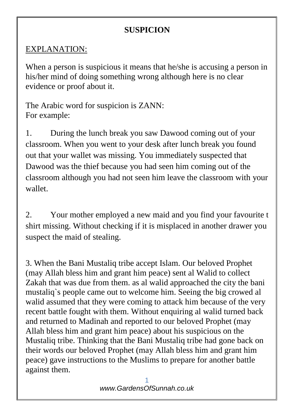## **SUSPICION**

## EXPLANATION:

When a person is suspicious it means that he/she is accusing a person in his/her mind of doing something wrong although here is no clear evidence or proof about it.

The Arabic word for suspicion is ZANN: For example:

1. During the lunch break you saw Dawood coming out of your classroom. When you went to your desk after lunch break you found out that your wallet was missing. You immediately suspected that Dawood was the thief because you had seen him coming out of the classroom although you had not seen him leave the classroom with your wallet.

2. Your mother employed a new maid and you find your favourite t shirt missing. Without checking if it is misplaced in another drawer you suspect the maid of stealing.

3. When the Bani Mustaliq tribe accept Islam. Our beloved Prophet (may Allah bless him and grant him peace) sent al Walid to collect Zakah that was due from them. as al walid approached the city the bani mustaliq`s people came out to welcome him. Seeing the big crowed al walid assumed that they were coming to attack him because of the very recent battle fought with them. Without enquiring al walid turned back and returned to Madinah and reported to our beloved Prophet (may Allah bless him and grant him peace) about his suspicious on the Mustaliq tribe. Thinking that the Bani Mustaliq tribe had gone back on their words our beloved Prophet (may Allah bless him and grant him peace) gave instructions to the Muslims to prepare for another battle against them.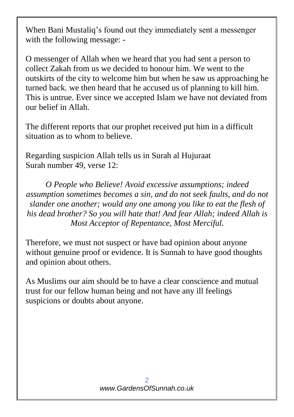When Bani Mustaliq's found out they immediately sent a messenger with the following message: -

O messenger of Allah when we heard that you had sent a person to collect Zakah from us we decided to honour him. We went to the outskirts of the city to welcome him but when he saw us approaching he turned back. we then heard that he accused us of planning to kill him. This is untrue. Ever since we accepted Islam we have not deviated from our belief in Allah.

The different reports that our prophet received put him in a difficult situation as to whom to believe.

Regarding suspicion Allah tells us in Surah al Hujuraat Surah number 49, verse 12:

*O People who Believe! Avoid excessive assumptions; indeed assumption sometimes becomes a sin, and do not seek faults, and do not slander one another; would any one among you like to eat the flesh of his dead brother? So you will hate that! And fear Allah; indeed Allah is Most Acceptor of Repentance, Most Merciful.*

Therefore, we must not suspect or have bad opinion about anyone without genuine proof or evidence. It is Sunnah to have good thoughts and opinion about others.

As Muslims our aim should be to have a clear conscience and mutual trust for our fellow human being and not have any ill feelings suspicions or doubts about anyone.